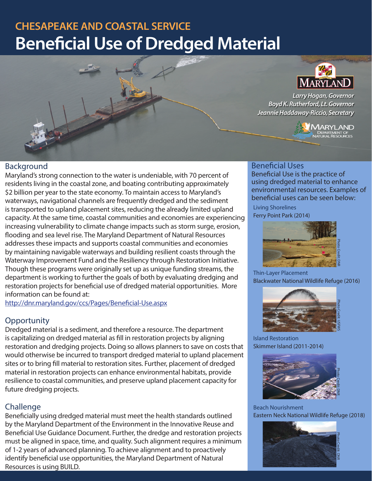# **CHESAPEAKE AND COASTAL SERVICE Beneficial Use of Dredged Material**



# Background

Maryland's strong connection to the water is undeniable, with 70 percent of residents living in the coastal zone, and boating contributing approximately \$2 billion per year to the state economy. To maintain access to Maryland's waterways, navigational channels are frequently dredged and the sediment is transported to upland placement sites, reducing the already limited upland capacity. At the same time, coastal communities and economies are experiencing increasing vulnerability to climate change impacts such as storm surge, erosion, flooding and sea level rise. The Maryland Department of Natural Resources addresses these impacts and supports coastal communities and economies by maintaining navigable waterways and building resilient coasts through the Waterway Improvement Fund and the Resiliency through Restoration Initiative. Though these programs were originally set up as unique funding streams, the department is working to further the goals of both by evaluating dredging and restoration projects for beneficial use of dredged material opportunities. More information can be found at:

http://dnr.maryland.gov/ccs/Pages/Beneficial-Use.aspx

# **Opportunity**

Dredged material is a sediment, and therefore a resource. The department is capitalizing on dredged material as fill in restoration projects by aligning restoration and dredging projects. Doing so allows planners to save on costs that would otherwise be incurred to transport dredged material to upland placement sites or to bring fill material to restoration sites. Further, placement of dredged material in restoration projects can enhance environmental habitats, provide resilience to coastal communities, and preserve upland placement capacity for future dredging projects.

# Challenge

Beneficially using dredged material must meet the health standards outlined by the Maryland Department of the Environment in the Innovative Reuse and Beneficial Use Guidance Document. Further, the dredge and restoration projects must be aligned in space, time, and quality. Such alignment requires a minimum of 1-2 years of advanced planning. To achieve alignment and to proactively identify beneficial use opportunities, the Maryland Department of Natural Resources is using BUILD.

#### Beneficial Uses

Beneficial Use is the practice of using dredged material to enhance environmental resources. Examples of beneficial uses can be seen below:

Living Shorelines Ferry Point Park (2014)



Thin-Layer Placement Blackwater National Wildlife Refuge (2016)



Island Restoration Skimmer Island (2011-2014)



Beach Nourishment